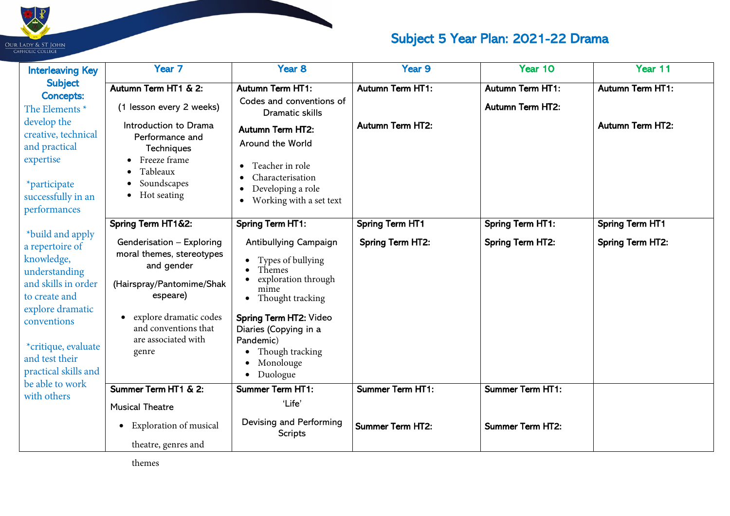

## Subject 5 Year Plan: 2021-22 Drama

| <b>Interleaving Key</b>                                                                                                                                                                                                                                                                                                                                                                                            | Year <sub>7</sub>                                                                                                                                                    | Year <sub>8</sub>                                                                                                                                                                                                                | Year 9                                             | Year 10                                            | Year 11                                            |
|--------------------------------------------------------------------------------------------------------------------------------------------------------------------------------------------------------------------------------------------------------------------------------------------------------------------------------------------------------------------------------------------------------------------|----------------------------------------------------------------------------------------------------------------------------------------------------------------------|----------------------------------------------------------------------------------------------------------------------------------------------------------------------------------------------------------------------------------|----------------------------------------------------|----------------------------------------------------|----------------------------------------------------|
| <b>Subject</b><br><b>Concepts:</b><br>The Elements <sup>*</sup><br>develop the<br>creative, technical<br>and practical<br>expertise<br><i>*participate</i><br>successfully in an<br>performances<br>*build and apply<br>a repertoire of<br>knowledge,<br>understanding<br>and skills in order<br>to create and<br>explore dramatic<br>conventions<br>*critique, evaluate<br>and test their<br>practical skills and | Autumn Term HT1 & 2:<br>(1 lesson every 2 weeks)<br>Introduction to Drama<br>Performance and<br>Techniques<br>Freeze frame<br>Tableaux<br>Soundscapes<br>Hot seating | <b>Autumn Term HT1:</b><br>Codes and conventions of<br><b>Dramatic skills</b><br><b>Autumn Term HT2:</b><br>Around the World<br>Teacher in role<br>Characterisation<br>Developing a role<br>Working with a set text<br>$\bullet$ | <b>Autumn Term HT1:</b><br><b>Autumn Term HT2:</b> | <b>Autumn Term HT1:</b><br><b>Autumn Term HT2:</b> | <b>Autumn Term HT1:</b><br><b>Autumn Term HT2:</b> |
|                                                                                                                                                                                                                                                                                                                                                                                                                    | Spring Term HT1&2:<br>Genderisation - Exploring<br>moral themes, stereotypes<br>and gender<br>(Hairspray/Pantomime/Shak<br>espeare)<br>explore dramatic codes        | <b>Spring Term HT1:</b><br>Antibullying Campaign<br>Types of bullying<br>Themes<br>exploration through<br>mime<br>• Thought tracking<br><b>Spring Term HT2: Video</b>                                                            | <b>Spring Term HT1</b><br><b>Spring Term HT2:</b>  | <b>Spring Term HT1:</b><br><b>Spring Term HT2:</b> | <b>Spring Term HT1</b><br><b>Spring Term HT2:</b>  |
|                                                                                                                                                                                                                                                                                                                                                                                                                    | and conventions that<br>are associated with<br>genre                                                                                                                 | Diaries (Copying in a<br>Pandemic)<br>Though tracking<br>Monolouge<br>Duologue                                                                                                                                                   |                                                    |                                                    |                                                    |
| be able to work<br>with others                                                                                                                                                                                                                                                                                                                                                                                     | Summer Term HT1 & 2:                                                                                                                                                 | <b>Summer Term HT1:</b>                                                                                                                                                                                                          | <b>Summer Term HT1:</b>                            | <b>Summer Term HT1:</b>                            |                                                    |
|                                                                                                                                                                                                                                                                                                                                                                                                                    | <b>Musical Theatre</b><br>• Exploration of musical<br>theatre, genres and                                                                                            | 'Life'<br>Devising and Performing<br><b>Scripts</b>                                                                                                                                                                              | <b>Summer Term HT2:</b>                            | <b>Summer Term HT2:</b>                            |                                                    |

**The Contract of the Contract of the Contract of the Contract of the Contract of the Contract of the Contract o**